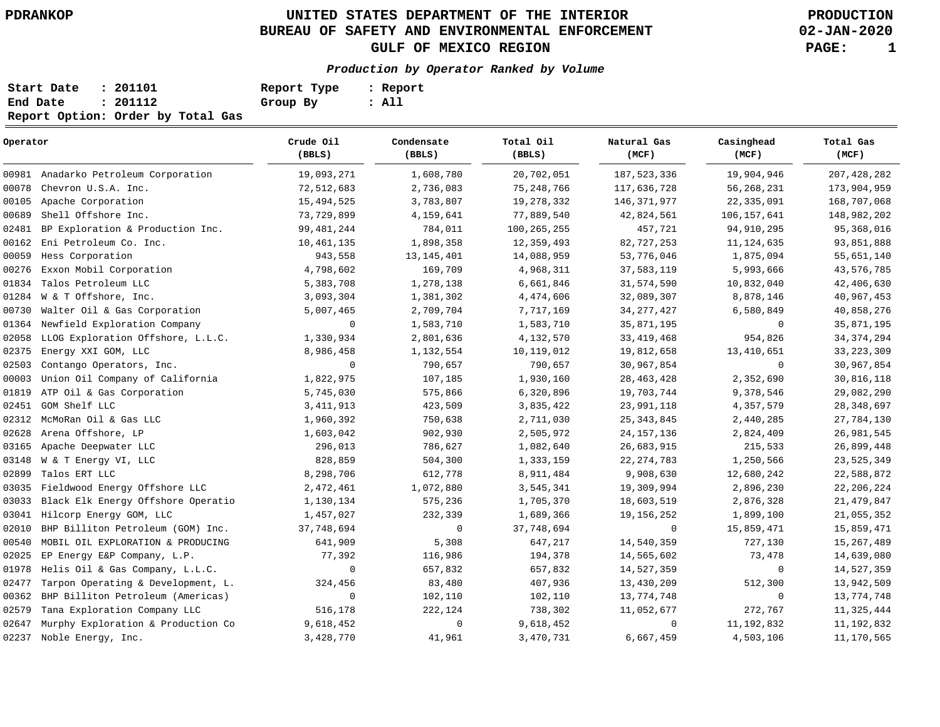**02-JAN-2020**

| Start Date | : 201101                          | Report Type | : Report |
|------------|-----------------------------------|-------------|----------|
| End Date   | : 201112                          | Group By    | : All    |
|            | Report Option: Order by Total Gas |             |          |

| Operator |                                      | Crude Oil<br>(BBLS) | Condensate<br>(BBLS) | Total Oil<br>(BBLS) | Natural Gas<br>(MCF) | Casinghead<br>(MCF) | Total Gas<br>(MCF) |
|----------|--------------------------------------|---------------------|----------------------|---------------------|----------------------|---------------------|--------------------|
|          | 00981 Anadarko Petroleum Corporation | 19,093,271          | 1,608,780            | 20,702,051          | 187, 523, 336        | 19,904,946          | 207, 428, 282      |
| 00078    | Chevron U.S.A. Inc.                  | 72,512,683          | 2,736,083            | 75, 248, 766        | 117,636,728          | 56, 268, 231        | 173,904,959        |
| 00105    | Apache Corporation                   | 15,494,525          | 3,783,807            | 19,278,332          | 146, 371, 977        | 22, 335, 091        | 168,707,068        |
| 00689    | Shell Offshore Inc.                  | 73,729,899          | 4,159,641            | 77,889,540          | 42,824,561           | 106, 157, 641       | 148,982,202        |
| 02481    | BP Exploration & Production Inc.     | 99, 481, 244        | 784,011              | 100, 265, 255       | 457,721              | 94, 910, 295        | 95,368,016         |
| 00162    | Eni Petroleum Co. Inc.               | 10,461,135          | 1,898,358            | 12,359,493          | 82,727,253           | 11, 124, 635        | 93,851,888         |
| 00059    | Hess Corporation                     | 943,558             | 13, 145, 401         | 14,088,959          | 53,776,046           | 1,875,094           | 55,651,140         |
| 00276    | Exxon Mobil Corporation              | 4,798,602           | 169,709              | 4,968,311           | 37,583,119           | 5,993,666           | 43,576,785         |
| 01834    | Talos Petroleum LLC                  | 5,383,708           | 1,278,138            | 6,661,846           | 31,574,590           | 10,832,040          | 42,406,630         |
| 01284    | W & T Offshore, Inc.                 | 3,093,304           | 1,381,302            | 4,474,606           | 32,089,307           | 8,878,146           | 40,967,453         |
| 00730    | Walter Oil & Gas Corporation         | 5,007,465           | 2,709,704            | 7,717,169           | 34, 277, 427         | 6,580,849           | 40,858,276         |
| 01364    | Newfield Exploration Company         | 0                   | 1,583,710            | 1,583,710           | 35,871,195           | $\Omega$            | 35,871,195         |
| 02058    | LLOG Exploration Offshore, L.L.C.    | 1,330,934           | 2,801,636            | 4,132,570           | 33, 419, 468         | 954,826             | 34, 374, 294       |
| 02375    | Energy XXI GOM, LLC                  | 8,986,458           | 1,132,554            | 10,119,012          | 19,812,658           | 13,410,651          | 33, 223, 309       |
| 02503    | Contango Operators, Inc.             | $\mathbf 0$         | 790,657              | 790,657             | 30,967,854           | $\mathbf{0}$        | 30,967,854         |
| 00003    | Union Oil Company of California      | 1,822,975           | 107,185              | 1,930,160           | 28, 463, 428         | 2,352,690           | 30,816,118         |
| 01819    | ATP Oil & Gas Corporation            | 5,745,030           | 575,866              | 6,320,896           | 19,703,744           | 9,378,546           | 29,082,290         |
| 02451    | GOM Shelf LLC                        | 3, 411, 913         | 423,509              | 3,835,422           | 23,991,118           | 4,357,579           | 28, 348, 697       |
| 02312    | McMoRan Oil & Gas LLC                | 1,960,392           | 750,638              | 2,711,030           | 25, 343, 845         | 2,440,285           | 27,784,130         |
| 02628    | Arena Offshore, LP                   | 1,603,042           | 902,930              | 2,505,972           | 24, 157, 136         | 2,824,409           | 26,981,545         |
| 03165    | Apache Deepwater LLC                 | 296,013             | 786,627              | 1,082,640           | 26,683,915           | 215,533             | 26,899,448         |
| 03148    | W & T Energy VI, LLC                 | 828,859             | 504,300              | 1,333,159           | 22, 274, 783         | 1,250,566           | 23,525,349         |
| 02899    | Talos ERT LLC                        | 8,298,706           | 612,778              | 8,911,484           | 9,908,630            | 12,680,242          | 22,588,872         |
| 03035    | Fieldwood Energy Offshore LLC        | 2,472,461           | 1,072,880            | 3,545,341           | 19,309,994           | 2,896,230           | 22, 206, 224       |
| 03033    | Black Elk Energy Offshore Operatio   | 1,130,134           | 575,236              | 1,705,370           | 18,603,519           | 2,876,328           | 21, 479, 847       |
| 03041    | Hilcorp Energy GOM, LLC              | 1,457,027           | 232,339              | 1,689,366           | 19, 156, 252         | 1,899,100           | 21,055,352         |
| 02010    | BHP Billiton Petroleum (GOM) Inc.    | 37,748,694          | $\mathbf 0$          | 37,748,694          | $\mathbf 0$          | 15,859,471          | 15,859,471         |
| 00540    | MOBIL OIL EXPLORATION & PRODUCING    | 641,909             | 5,308                | 647,217             | 14,540,359           | 727,130             | 15, 267, 489       |
| 02025    | EP Energy E&P Company, L.P.          | 77,392              | 116,986              | 194,378             | 14,565,602           | 73,478              | 14,639,080         |
| 01978    | Helis Oil & Gas Company, L.L.C.      | $\mathbf 0$         | 657,832              | 657,832             | 14,527,359           | $\mathbf 0$         | 14,527,359         |
| 02477    | Tarpon Operating & Development, L.   | 324,456             | 83,480               | 407,936             | 13,430,209           | 512,300             | 13,942,509         |
| 00362    | BHP Billiton Petroleum (Americas)    | $\mathsf 0$         | 102,110              | 102,110             | 13,774,748           | $\mathbf 0$         | 13,774,748         |
| 02579    | Tana Exploration Company LLC         | 516,178             | 222,124              | 738,302             | 11,052,677           | 272,767             | 11,325,444         |
| 02647    | Murphy Exploration & Production Co   | 9,618,452           | $\mathbf 0$          | 9,618,452           | $\mathbf 0$          | 11, 192, 832        | 11, 192, 832       |
| 02237    | Noble Energy, Inc.                   | 3,428,770           | 41,961               | 3,470,731           | 6,667,459            | 4,503,106           | 11, 170, 565       |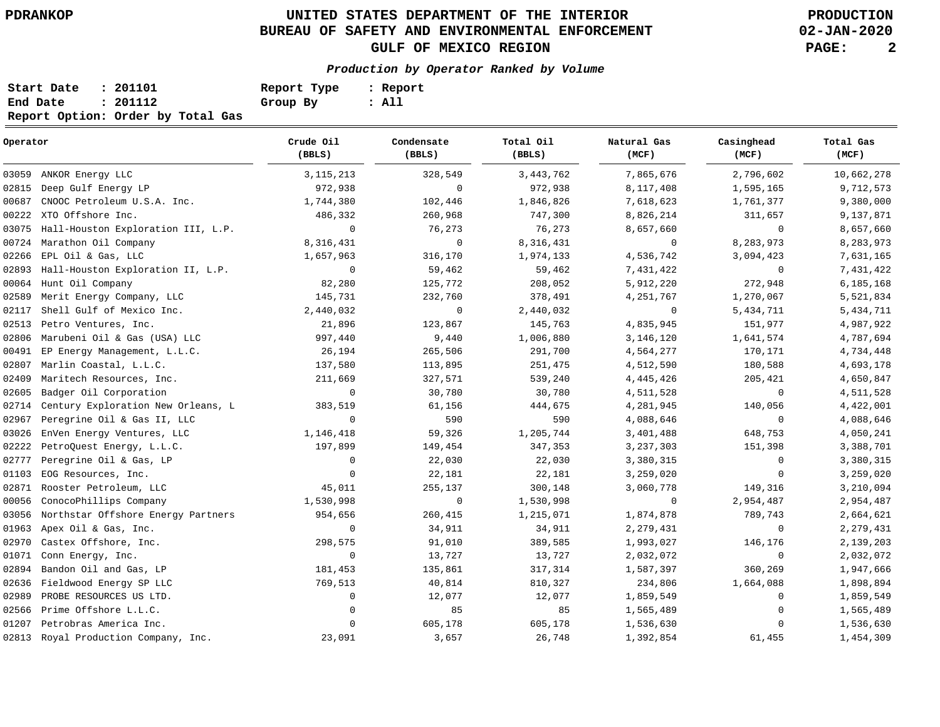**02-JAN-2020**

| Start Date | : 201101                          | Report Type | : Report |
|------------|-----------------------------------|-------------|----------|
| End Date   | : 201112                          | Group By    | : All    |
|            | Report Option: Order by Total Gas |             |          |

| Operator |                                      | Crude Oil<br>(BBLS) | Condensate<br>(BBLS) | Total Oil<br>(BBLS) | Natural Gas<br>(MCF) | Casinghead<br>(MCF) | Total Gas<br>(MCF) |
|----------|--------------------------------------|---------------------|----------------------|---------------------|----------------------|---------------------|--------------------|
|          | 03059 ANKOR Energy LLC               | 3, 115, 213         | 328,549              | 3, 443, 762         | 7,865,676            | 2,796,602           | 10,662,278         |
| 02815    | Deep Gulf Energy LP                  | 972,938             | $\mathbf{0}$         | 972,938             | 8,117,408            | 1,595,165           | 9,712,573          |
| 00687    | CNOOC Petroleum U.S.A. Inc.          | 1,744,380           | 102,446              | 1,846,826           | 7,618,623            | 1,761,377           | 9,380,000          |
| 00222    | XTO Offshore Inc.                    | 486,332             | 260,968              | 747,300             | 8,826,214            | 311,657             | 9,137,871          |
| 03075    | Hall-Houston Exploration III, L.P.   | $\mathbf 0$         | 76,273               | 76,273              | 8,657,660            | 0                   | 8,657,660          |
| 00724    | Marathon Oil Company                 | 8,316,431           | $\mathbf 0$          | 8,316,431           | $\mathbf 0$          | 8,283,973           | 8,283,973          |
| 02266    | EPL Oil & Gas, LLC                   | 1,657,963           | 316,170              | 1,974,133           | 4,536,742            | 3,094,423           | 7,631,165          |
| 02893    | Hall-Houston Exploration II, L.P.    | $\mathbf{0}$        | 59,462               | 59,462              | 7,431,422            | $\mathbf 0$         | 7,431,422          |
| 00064    | Hunt Oil Company                     | 82,280              | 125,772              | 208,052             | 5,912,220            | 272,948             | 6,185,168          |
| 02589    | Merit Energy Company, LLC            | 145,731             | 232,760              | 378,491             | 4, 251, 767          | 1,270,067           | 5,521,834          |
| 02117    | Shell Gulf of Mexico Inc.            | 2,440,032           | $\mathbf 0$          | 2,440,032           | 0                    | 5,434,711           | 5,434,711          |
| 02513    | Petro Ventures, Inc.                 | 21,896              | 123,867              | 145,763             | 4,835,945            | 151,977             | 4,987,922          |
| 02806    | Marubeni Oil & Gas (USA) LLC         | 997,440             | 9,440                | 1,006,880           | 3,146,120            | 1,641,574           | 4,787,694          |
| 00491    | EP Energy Management, L.L.C.         | 26,194              | 265,506              | 291,700             | 4,564,277            | 170,171             | 4,734,448          |
| 02807    | Marlin Coastal, L.L.C.               | 137,580             | 113,895              | 251,475             | 4,512,590            | 180,588             | 4,693,178          |
| 02409    | Maritech Resources, Inc.             | 211,669             | 327,571              | 539,240             | 4, 445, 426          | 205,421             | 4,650,847          |
| 02605    | Badger Oil Corporation               | $\mathbf 0$         | 30,780               | 30,780              | 4,511,528            | 0                   | 4,511,528          |
| 02714    | Century Exploration New Orleans, L   | 383,519             | 61,156               | 444,675             | 4,281,945            | 140,056             | 4,422,001          |
| 02967    | Peregrine Oil & Gas II, LLC          | $\mathbf 0$         | 590                  | 590                 | 4,088,646            | $\mathbf 0$         | 4,088,646          |
| 03026    | EnVen Energy Ventures, LLC           | 1,146,418           | 59,326               | 1,205,744           | 3,401,488            | 648,753             | 4,050,241          |
| 02222    | PetroQuest Energy, L.L.C.            | 197,899             | 149,454              | 347,353             | 3,237,303            | 151,398             | 3,388,701          |
| 02777    | Peregrine Oil & Gas, LP              | 0                   | 22,030               | 22,030              | 3,380,315            | $\mathbf 0$         | 3,380,315          |
| 01103    | EOG Resources, Inc.                  | $\mathbf{0}$        | 22,181               | 22,181              | 3,259,020            | 0                   | 3,259,020          |
| 02871    | Rooster Petroleum, LLC               | 45,011              | 255,137              | 300,148             | 3,060,778            | 149,316             | 3,210,094          |
| 00056    | ConocoPhillips Company               | 1,530,998           | $\mathbf 0$          | 1,530,998           | 0                    | 2,954,487           | 2,954,487          |
| 03056    | Northstar Offshore Energy Partners   | 954,656             | 260,415              | 1,215,071           | 1,874,878            | 789,743             | 2,664,621          |
| 01963    | Apex Oil & Gas, Inc.                 | $\mathbf 0$         | 34,911               | 34,911              | 2, 279, 431          | 0                   | 2,279,431          |
| 02970    | Castex Offshore, Inc.                | 298,575             | 91,010               | 389,585             | 1,993,027            | 146,176             | 2,139,203          |
| 01071    | Conn Energy, Inc.                    | $\mathbf 0$         | 13,727               | 13,727              | 2,032,072            | 0                   | 2,032,072          |
| 02894    | Bandon Oil and Gas, LP               | 181,453             | 135,861              | 317,314             | 1,587,397            | 360,269             | 1,947,666          |
| 02636    | Fieldwood Energy SP LLC              | 769,513             | 40,814               | 810,327             | 234,806              | 1,664,088           | 1,898,894          |
| 02989    | PROBE RESOURCES US LTD.              | $\mathbf 0$         | 12,077               | 12,077              | 1,859,549            | 0                   | 1,859,549          |
| 02566    | Prime Offshore L.L.C.                | 0                   | 85                   | 85                  | 1,565,489            | 0                   | 1,565,489          |
| 01207    | Petrobras America Inc.               | $\mathbf 0$         | 605,178              | 605,178             | 1,536,630            | 0                   | 1,536,630          |
|          | 02813 Royal Production Company, Inc. | 23,091              | 3,657                | 26,748              | 1,392,854            | 61,455              | 1,454,309          |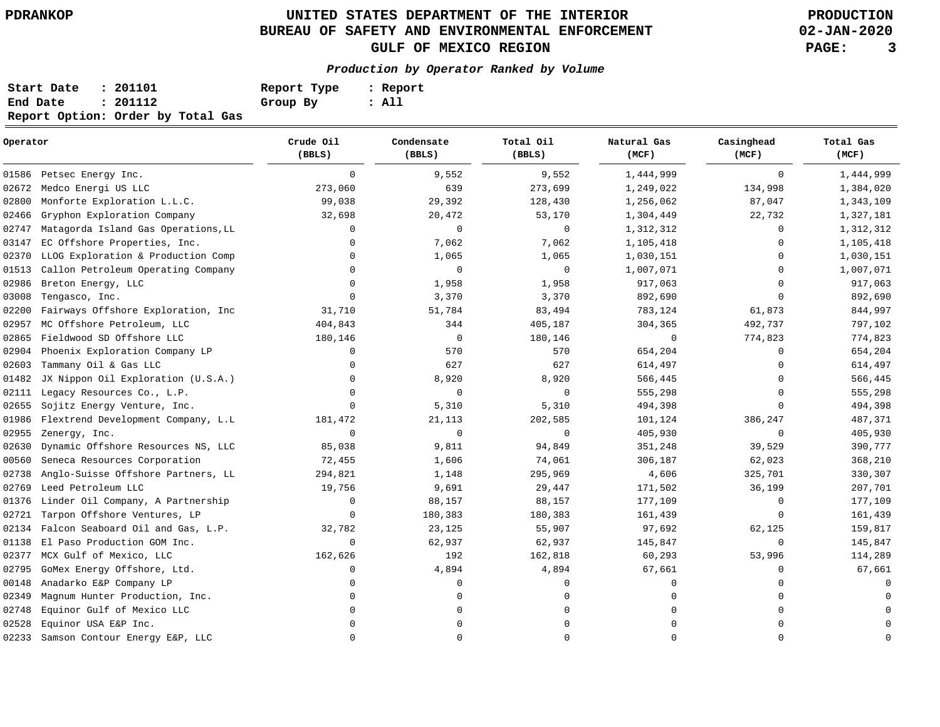**02-JAN-2020**

| Start Date | : 201101                          | Report Type | : Report |
|------------|-----------------------------------|-------------|----------|
| End Date   | : 201112                          | Group By    | : All    |
|            | Report Option: Order by Total Gas |             |          |

| Operator |                                     | Crude Oil<br>(BBLS) | Condensate<br>(BBLS) | Total Oil<br>(BBLS) | Natural Gas<br>(MCF) | Casinghead<br>(MCF) | Total Gas<br>(MCF) |
|----------|-------------------------------------|---------------------|----------------------|---------------------|----------------------|---------------------|--------------------|
| 01586    | Petsec Energy Inc.                  | $\mathbf 0$         | 9,552                | 9,552               | 1,444,999            | $\mathbf 0$         | 1,444,999          |
| 02672    | Medco Energi US LLC                 | 273,060             | 639                  | 273,699             | 1,249,022            | 134,998             | 1,384,020          |
| 02800    | Monforte Exploration L.L.C.         | 99,038              | 29,392               | 128,430             | 1,256,062            | 87,047              | 1,343,109          |
| 02466    | Gryphon Exploration Company         | 32,698              | $20\,, 472$          | 53,170              | 1,304,449            | 22,732              | 1,327,181          |
| 02747    | Matagorda Island Gas Operations, LL | $\Omega$            | 0                    | 0                   | 1,312,312            | $\Omega$            | 1,312,312          |
| 03147    | EC Offshore Properties, Inc.        | $\Omega$            | 7,062                | 7,062               | 1,105,418            | $\Omega$            | 1,105,418          |
| 02370    | LLOG Exploration & Production Comp  | $\Omega$            | 1,065                | 1,065               | 1,030,151            | $\Omega$            | 1,030,151          |
| 01513    | Callon Petroleum Operating Company  | $\Omega$            | $\mathbf 0$          | 0                   | 1,007,071            | $\Omega$            | 1,007,071          |
| 02986    | Breton Energy, LLC                  | $\Omega$            | 1,958                | 1,958               | 917,063              | $\Omega$            | 917,063            |
| 03008    | Tengasco, Inc.                      | $\Omega$            | 3,370                | 3,370               | 892,690              | $\Omega$            | 892,690            |
| 02200    | Fairways Offshore Exploration, Inc  | 31,710              | 51,784               | 83,494              | 783,124              | 61,873              | 844,997            |
| 02957    | MC Offshore Petroleum, LLC          | 404,843             | 344                  | 405,187             | 304,365              | 492,737             | 797,102            |
| 02865    | Fieldwood SD Offshore LLC           | 180,146             | 0                    | 180,146             | 0                    | 774,823             | 774,823            |
| 02904    | Phoenix Exploration Company LP      | $\mathbf 0$         | 570                  | 570                 | 654,204              | $\Omega$            | 654,204            |
| 02603    | Tammany Oil & Gas LLC               | $\Omega$            | 627                  | 627                 | 614,497              | $\Omega$            | 614,497            |
| 01482    | JX Nippon Oil Exploration (U.S.A.)  | $\Omega$            | 8,920                | 8,920               | 566,445              | $\Omega$            | 566,445            |
| 02111    | Legacy Resources Co., L.P.          | $\Omega$            | $\mathbf 0$          | $\mathbf 0$         | 555,298              | $\Omega$            | 555,298            |
| 02655    | Sojitz Energy Venture, Inc.         | $\Omega$            | 5,310                | 5,310               | 494,398              | $\Omega$            | 494,398            |
| 01986    | Flextrend Development Company, L.L  | 181,472             | 21,113               | 202,585             | 101,124              | 386,247             | 487,371            |
| 02955    | Zenergy, Inc.                       | 0                   | $\mathbf 0$          | 0                   | 405,930              | $\mathbf 0$         | 405,930            |
| 02630    | Dynamic Offshore Resources NS, LLC  | 85,038              | 9,811                | 94,849              | 351,248              | 39,529              | 390,777            |
| 00560    | Seneca Resources Corporation        | 72,455              | 1,606                | 74,061              | 306,187              | 62,023              | 368,210            |
| 02738    | Anglo-Suisse Offshore Partners, LL  | 294,821             | 1,148                | 295,969             | 4,606                | 325,701             | 330,307            |
| 02769    | Leed Petroleum LLC                  | 19,756              | 9,691                | 29,447              | 171,502              | 36,199              | 207,701            |
| 01376    | Linder Oil Company, A Partnership   | 0                   | 88,157               | 88,157              | 177,109              | 0                   | 177,109            |
| 02721    | Tarpon Offshore Ventures, LP        | 0                   | 180,383              | 180,383             | 161,439              | $\Omega$            | 161,439            |
| 02134    | Falcon Seaboard Oil and Gas, L.P.   | 32,782              | 23,125               | 55,907              | 97,692               | 62,125              | 159,817            |
| 01138    | El Paso Production GOM Inc.         | 0                   | 62,937               | 62,937              | 145,847              | 0                   | 145,847            |
| 02377    | MCX Gulf of Mexico, LLC             | 162,626             | 192                  | 162,818             | 60,293               | 53,996              | 114,289            |
| 02795    | GoMex Energy Offshore, Ltd.         | $\Omega$            | 4,894                | 4,894               | 67,661               | $\Omega$            | 67,661             |
| 00148    | Anadarko E&P Company LP             | <sup>0</sup>        | O                    | $\Omega$            | $\Omega$             | $\Omega$            |                    |
| 02349    | Magnum Hunter Production, Inc.      | $\Omega$            |                      | $\Omega$            |                      |                     |                    |
| 02748    | Equinor Gulf of Mexico LLC          | $\Omega$            |                      | $\Omega$            |                      | $\Omega$            |                    |
| 02528    | Equinor USA E&P Inc.                | $\Omega$            |                      | $\Omega$            |                      | $\Omega$            |                    |
| 02233    | Samson Contour Energy E&P, LLC      | $\Omega$            | $\Omega$             | $\mathbf 0$         | $\Omega$             | $\Omega$            | $\Omega$           |